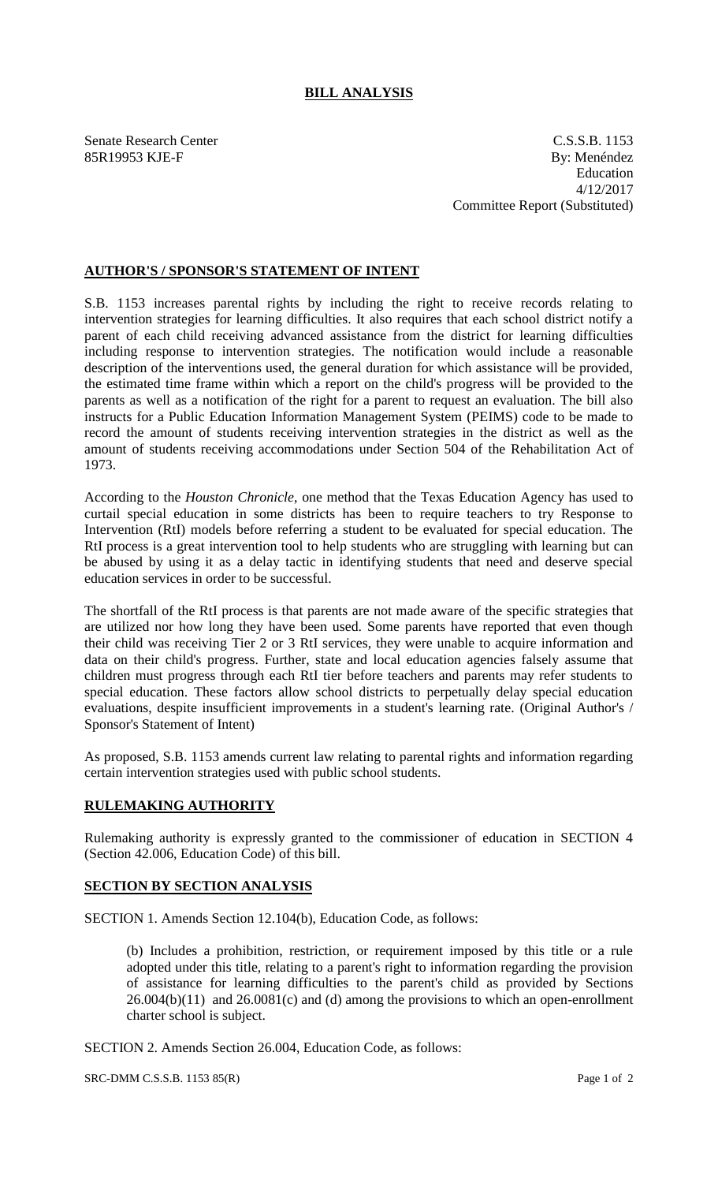## **BILL ANALYSIS**

Senate Research Center C.S.S.B. 1153 85R19953 KJE-F By: Menéndez Education 4/12/2017 Committee Report (Substituted)

## **AUTHOR'S / SPONSOR'S STATEMENT OF INTENT**

S.B. 1153 increases parental rights by including the right to receive records relating to intervention strategies for learning difficulties. It also requires that each school district notify a parent of each child receiving advanced assistance from the district for learning difficulties including response to intervention strategies. The notification would include a reasonable description of the interventions used, the general duration for which assistance will be provided, the estimated time frame within which a report on the child's progress will be provided to the parents as well as a notification of the right for a parent to request an evaluation. The bill also instructs for a Public Education Information Management System (PEIMS) code to be made to record the amount of students receiving intervention strategies in the district as well as the amount of students receiving accommodations under Section 504 of the Rehabilitation Act of 1973.

According to the *Houston Chronicle*, one method that the Texas Education Agency has used to curtail special education in some districts has been to require teachers to try Response to Intervention (RtI) models before referring a student to be evaluated for special education. The RtI process is a great intervention tool to help students who are struggling with learning but can be abused by using it as a delay tactic in identifying students that need and deserve special education services in order to be successful.

The shortfall of the RtI process is that parents are not made aware of the specific strategies that are utilized nor how long they have been used. Some parents have reported that even though their child was receiving Tier 2 or 3 RtI services, they were unable to acquire information and data on their child's progress. Further, state and local education agencies falsely assume that children must progress through each RtI tier before teachers and parents may refer students to special education. These factors allow school districts to perpetually delay special education evaluations, despite insufficient improvements in a student's learning rate. (Original Author's / Sponsor's Statement of Intent)

As proposed, S.B. 1153 amends current law relating to parental rights and information regarding certain intervention strategies used with public school students.

## **RULEMAKING AUTHORITY**

Rulemaking authority is expressly granted to the commissioner of education in SECTION 4 (Section 42.006, Education Code) of this bill.

## **SECTION BY SECTION ANALYSIS**

SECTION 1. Amends Section 12.104(b), Education Code, as follows:

(b) Includes a prohibition, restriction, or requirement imposed by this title or a rule adopted under this title, relating to a parent's right to information regarding the provision of assistance for learning difficulties to the parent's child as provided by Sections  $26.004(b)(11)$  and  $26.0081(c)$  and (d) among the provisions to which an open-enrollment charter school is subject.

SECTION 2. Amends Section 26.004, Education Code, as follows:

SRC-DMM C.S.S.B. 1153 85(R) Page 1 of 2